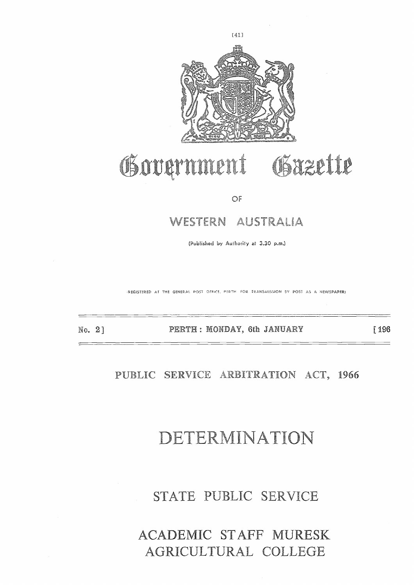

# WESTERN AUSTRAL<br>
(Published by Authority at 3.30 p.m.)<br>
(Published by Authority at 3.30 p.m.)<br>
ERTH : MONDAY, 6th JANU/<br>
CRVICE ARBITRATIO

OF

(Published by Authority at 3.30 p.m.)

**IREGISTERED AT THE GENERAL POST OFFICE, PERTH FOR TRANSMISSION SY POST AS A NEWSPAPER)** 

No. **<sup>2</sup>**

[196

PUBLIC SERVICE ARBITRATION ACT, 1966

## DETERMINATION

STATE PUBLIC SERVICE

## PERTH : MONDAY, 6th JANUARY<br>
SERVICE ARBITRATION<br>
STATE PUBLIC SERVICE<br>
STATE PUBLIC SERVICE<br>
CADEMIC STAFF MURES<br>
GRICULTURAL COLLEG ACADEMIC STAFF MURESK AGRICULTURAL COLLEGE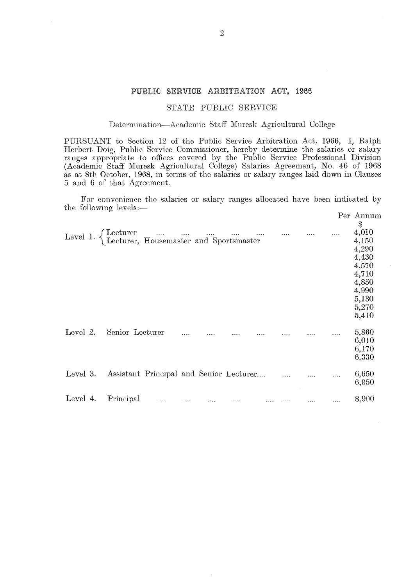## <sup>2</sup><br>PUBLIC SERVICE ARBITRATION ACT, 1966<br>STATE PUBLIC SERVICE

## **STATE PUBLIC SERVICE**

## **Determination—Academic** Staff Muresk Agricultural College

PURSUANT to Section 12 of the Public Service Arbitration Act, 1966, I, Ralph Herbert Doig, Public Service Commissioner, hereby determine the salaries or salary ranges appropriate to offices covered by the Public Service Professional Division (Academic Staff Muresk Agricultural College) Salaries Agreement, No. 46 of 1968 as at 8th October, 1968, in terms of the salaries or salary ranges laid down in Clauses 5 and 6 of that Agreement.

For convenience the salaries or salary ranges allocated have been indicated by the following levels:—

|          |                                                                                                                                                             |  |  |  | Per Annum<br>$\$$ |
|----------|-------------------------------------------------------------------------------------------------------------------------------------------------------------|--|--|--|-------------------|
|          | Level 1. $\left\{ \begin{array}{ll} \mbox{Lecturer} & \dots & \dots & \dots & \dots \\ \mbox{Lecturer, Housemaster and Sportsmaster} & \end{array} \right.$ |  |  |  | 4,010<br>4,150    |
|          |                                                                                                                                                             |  |  |  | 4,290<br>4,430    |
|          |                                                                                                                                                             |  |  |  | 4,570             |
|          |                                                                                                                                                             |  |  |  | 4,710<br>4,850    |
|          |                                                                                                                                                             |  |  |  | 4,990<br>5,130    |
|          |                                                                                                                                                             |  |  |  | 5,270             |
|          |                                                                                                                                                             |  |  |  | 5,410             |
| Level 2. | Senior Lecturer                                                                                                                                             |  |  |  | 5,860<br>6,010    |
|          |                                                                                                                                                             |  |  |  | 6,170             |
|          |                                                                                                                                                             |  |  |  | 6,330             |
| Level 3. | Assistant Principal and Senior Lecturer                                                                                                                     |  |  |  | 6,650             |
|          |                                                                                                                                                             |  |  |  | 6,950             |
| Level 4. | Principal<br>$\cdots$                                                                                                                                       |  |  |  | 8,900             |